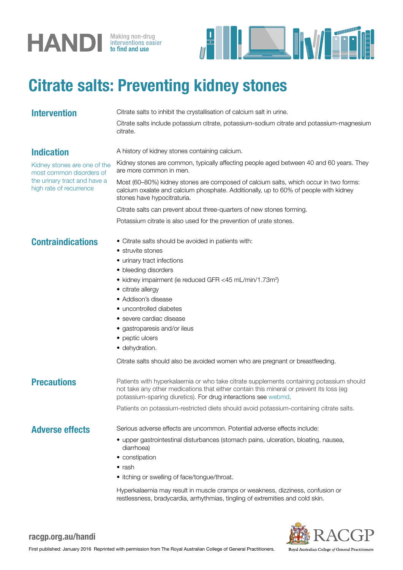# **HANDI** Making non-drug



## Citrate salts: Preventing kidney stones

**Intervention** Citrate salts to inhibit the crystallisation of calcium salt in urine.

Citrate salts include potassium citrate, potassium-sodium citrate and potassium-magnesium citrate.

## Indication

Kidney stones are one of the most common disorders of the urinary tract and have a high rate of recurrence

A history of kidney stones containing calcium.

Kidney stones are common, typically affecting people aged between 40 and 60 years. They are more common in men.

Most (60–80%) kidney stones are composed of calcium salts, which occur in two forms: calcium oxalate and calcium phosphate. Additionally, up to 60% of people with kidney stones have hypocitraturia.

Citrate salts can prevent about three-quarters of new stones forming.

Potassium citrate is also used for the prevention of urate stones.

### **Contraindications** • Citrate salts should be avoided in patients with:

#### • struvite stones

- urinary tract infections
- bleeding disorders
- kidney impairment (ie reduced GFR <45 mL/min/1.73m<sup>2</sup>)
- citrate allergy
- Addison's disease
- uncontrolled diabetes
- severe cardiac disease
- gastroparesis and/or ileus
- peptic ulcers
- dehydration.

Citrate salts should also be avoided women who are pregnant or breastfeeding.

**Precautions** Patients with hyperkalaemia or who take citrate supplements containing potassium should not take any other medications that either contain this mineral or prevent its loss (eg potassium-sparing diuretics). For drug interactions see webmd.

Patients on potassium-restricted diets should avoid potassium-containing citrate salts.

#### Adverse effects Serious adverse effects are uncommon. Potential adverse effects include:

- upper gastrointestinal disturbances (stomach pains, ulceration, bloating, nausea, diarrhoea)
- constipation
- rash
- itching or swelling of face/tongue/throat.

Hyperkalaemia may result in muscle cramps or weakness, dizziness, confusion or restlessness, bradycardia, arrhythmias, tingling of extremities and cold skin.



## racgp.org.au/handi

Royal Australian College of General Practitioners